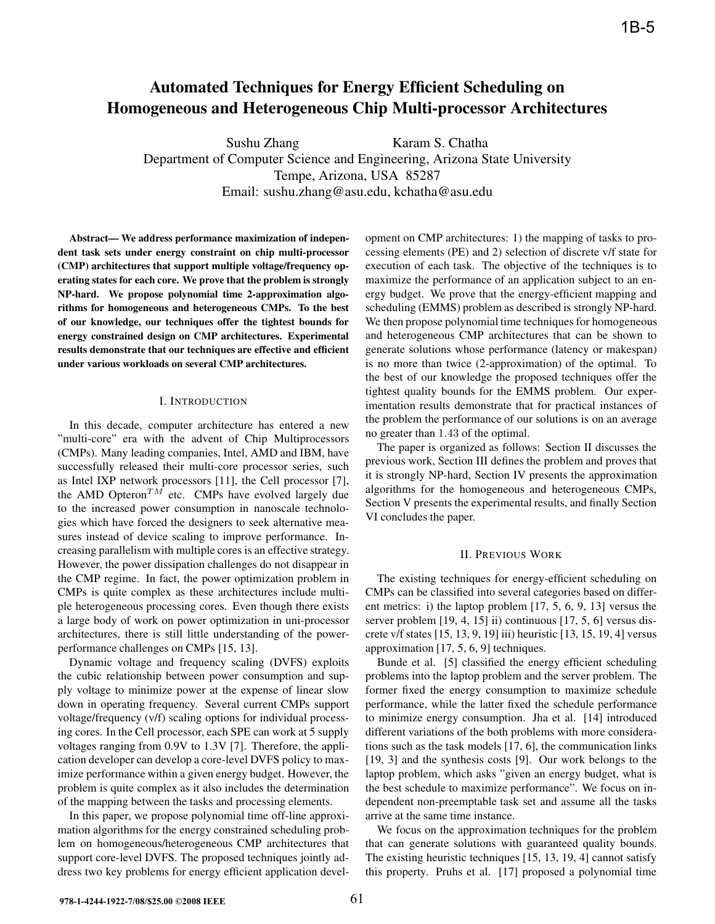# **Automated Techniques for Energy Efficient Scheduling on Homogeneous and Heterogeneous Chip Multi-processor Architectures**

Sushu Zhang Karam S. Chatha Department of Computer Science and Engineering, Arizona State University Tempe, Arizona, USA 85287 Email: sushu.zhang@asu.edu, kchatha@asu.edu

**Abstract— We address performance maximization of independent task sets under energy constraint on chip multi-processor (CMP) architectures that support multiple voltage/frequency operating states for each core. We prove that the problem is strongly NP-hard. We propose polynomial time 2-approximation algorithms for homogeneous and heterogeneous CMPs. To the best of our knowledge, our techniques offer the tightest bounds for energy constrained design on CMP architectures. Experimental results demonstrate that our techniques are effective and efficient under various workloads on several CMP architectures.**

## I. INTRODUCTION

In this decade, computer architecture has entered a new "multi-core" era with the advent of Chip Multiprocessors (CMPs). Many leading companies, Intel, AMD and IBM, have successfully released their multi-core processor series, such as Intel IXP network processors [11], the Cell processor [7], the AMD Opteron<sup>TM</sup> etc. CMPs have evolved largely due to the increased power consumption in nanoscale technologies which have forced the designers to seek alternative measures instead of device scaling to improve performance. Increasing parallelism with multiple cores is an effective strategy. However, the power dissipation challenges do not disappear in the CMP regime. In fact, the power optimization problem in CMPs is quite complex as these architectures include multiple heterogeneous processing cores. Even though there exists a large body of work on power optimization in uni-processor architectures, there is still little understanding of the powerperformance challenges on CMPs [15, 13].

Dynamic voltage and frequency scaling (DVFS) exploits the cubic relationship between power consumption and supply voltage to minimize power at the expense of linear slow down in operating frequency. Several current CMPs support voltage/frequency (v/f) scaling options for individual processing cores. In the Cell processor, each SPE can work at 5 supply voltages ranging from 0.9V to 1.3V [7]. Therefore, the application developer can develop a core-level DVFS policy to maximize performance within a given energy budget. However, the problem is quite complex as it also includes the determination of the mapping between the tasks and processing elements.

In this paper, we propose polynomial time off-line approximation algorithms for the energy constrained scheduling problem on homogeneous/heterogeneous CMP architectures that support core-level DVFS. The proposed techniques jointly address two key problems for energy efficient application development on CMP architectures: 1) the mapping of tasks to processing elements (PE) and 2) selection of discrete v/f state for execution of each task. The objective of the techniques is to maximize the performance of an application subject to an energy budget. We prove that the energy-efficient mapping and scheduling (EMMS) problem as described is strongly NP-hard. We then propose polynomial time techniques for homogeneous and heterogeneous CMP architectures that can be shown to generate solutions whose performance (latency or makespan) is no more than twice (2-approximation) of the optimal. To the best of our knowledge the proposed techniques offer the tightest quality bounds for the EMMS problem. Our experimentation results demonstrate that for practical instances of the problem the performance of our solutions is on an average no greater than 1.43 of the optimal.

The paper is organized as follows: Section II discusses the previous work, Section III defines the problem and proves that it is strongly NP-hard, Section IV presents the approximation algorithms for the homogeneous and heterogeneous CMPs, Section V presents the experimental results, and finally Section VI concludes the paper.

#### II. PREVIOUS WORK

The existing techniques for energy-efficient scheduling on CMPs can be classified into several categories based on different metrics: i) the laptop problem [17, 5, 6, 9, 13] versus the server problem [19, 4, 15] ii) continuous [17, 5, 6] versus discrete v/f states [15, 13, 9, 19] iii) heuristic [13, 15, 19, 4] versus approximation [17, 5, 6, 9] techniques.

Bunde et al. [5] classified the energy efficient scheduling problems into the laptop problem and the server problem. The former fixed the energy consumption to maximize schedule performance, while the latter fixed the schedule performance to minimize energy consumption. Jha et al. [14] introduced different variations of the both problems with more considerations such as the task models [17, 6], the communication links [19, 3] and the synthesis costs [9]. Our work belongs to the laptop problem, which asks "given an energy budget, what is the best schedule to maximize performance". We focus on independent non-preemptable task set and assume all the tasks arrive at the same time instance.

We focus on the approximation techniques for the problem that can generate solutions with guaranteed quality bounds. The existing heuristic techniques [15, 13, 19, 4] cannot satisfy this property. Pruhs et al. [17] proposed a polynomial time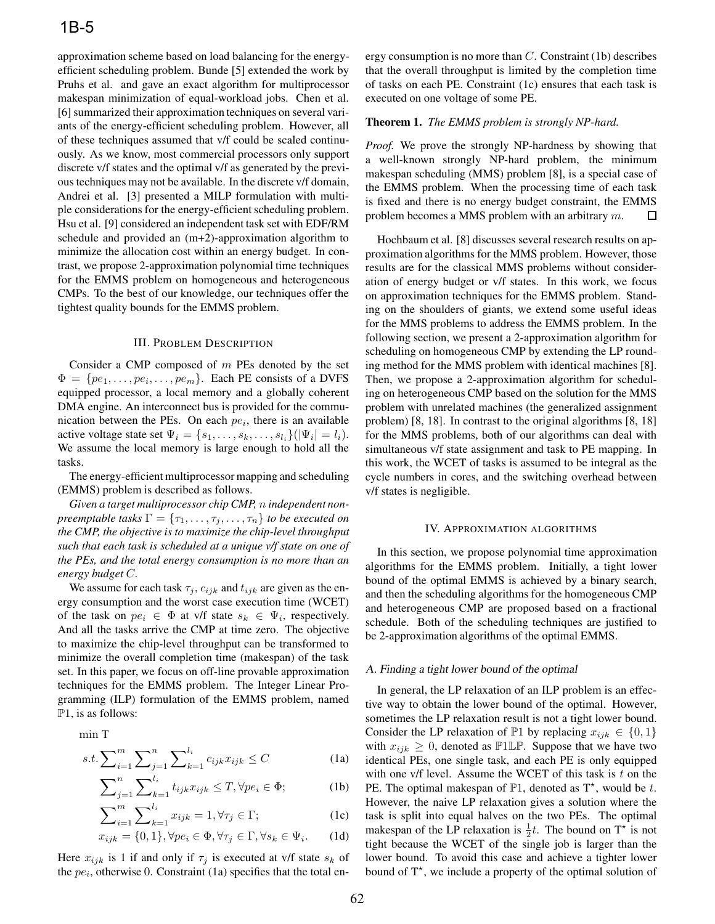approximation scheme based on load balancing for the energyefficient scheduling problem. Bunde [5] extended the work by Pruhs et al. and gave an exact algorithm for multiprocessor makespan minimization of equal-workload jobs. Chen et al. [6] summarized their approximation techniques on several variants of the energy-efficient scheduling problem. However, all of these techniques assumed that v/f could be scaled continuously. As we know, most commercial processors only support discrete v/f states and the optimal v/f as generated by the previous techniques may not be available. In the discrete v/f domain, Andrei et al. [3] presented a MILP formulation with multiple considerations for the energy-efficient scheduling problem. Hsu et al. [9] considered an independent task set with EDF/RM schedule and provided an (m+2)-approximation algorithm to minimize the allocation cost within an energy budget. In contrast, we propose 2-approximation polynomial time techniques for the EMMS problem on homogeneous and heterogeneous CMPs. To the best of our knowledge, our techniques offer the tightest quality bounds for the EMMS problem.

#### III. PROBLEM DESCRIPTION

Consider a CMP composed of  $m$  PEs denoted by the set  $\Phi = \{pe_1, \ldots, pe_i, \ldots, pe_m\}$ . Each PE consists of a DVFS equipped processor, a local memory and a globally coherent DMA engine. An interconnect bus is provided for the communication between the PEs. On each  $pe_i$ , there is an available active voltage state set  $\Psi_i = \{s_1, \ldots, s_k, \ldots, s_{l_i}\} (\vert \Psi_i \vert = l_i).$ We assume the local memory is large enough to hold all the tasks.

The energy-efficient multiprocessor mapping and scheduling (EMMS) problem is described as follows.

*Given a target multiprocessor chip CMP,* n *independent nonpreemptable tasks*  $\Gamma = {\tau_1, \ldots, \tau_j, \ldots, \tau_n}$  *to be executed on the CMP, the objective is to maximize the chip-level throughput such that each task is scheduled at a unique v/f state on one of the PEs, and the total energy consumption is no more than an energy budget* C*.*

We assume for each task  $\tau_j$ ,  $c_{ijk}$  and  $t_{ijk}$  are given as the energy consumption and the worst case execution time (WCET) of the task on  $pe_i \in \Phi$  at v/f state  $s_k \in \Psi_i$ , respectively. And all the tasks arrive the CMP at time zero. The objective to maximize the chip-level throughput can be transformed to minimize the overall completion time (makespan) of the task set. In this paper, we focus on off-line provable approximation techniques for the EMMS problem. The Integer Linear Programming (ILP) formulation of the EMMS problem, named  $\mathbb{P}1$ , is as follows:

min <sup>T</sup>

$$
s.t. \sum_{i=1}^{m} \sum_{j=1}^{n} \sum_{k=1}^{l_i} c_{ijk} x_{ijk} \le C \tag{1a}
$$

$$
\sum_{j=1}^{n} \sum_{k=1}^{l_i} t_{ijk} x_{ijk} \leq T, \forall pe_i \in \Phi; \tag{1b}
$$

$$
\sum_{i=1}^{m} \sum_{k=1}^{l_i} x_{ijk} = 1, \forall \tau_j \in \Gamma; \tag{1c}
$$

$$
x_{ijk} = \{0, 1\}, \forall pe_i \in \Phi, \forall \tau_j \in \Gamma, \forall s_k \in \Psi_i. \tag{1d}
$$

Here  $x_{ijk}$  is 1 if and only if  $\tau_i$  is executed at v/f state  $s_k$  of the  $pe_i$ , otherwise 0. Constraint (1a) specifies that the total energy consumption is no more than C. Constraint (1b) describes that the overall throughput is limited by the completion time of tasks on each PE. Constraint (1c) ensures that each task is executed on one voltage of some PE.

#### **Theorem 1.** *The EMMS problem is strongly NP-hard.*

*Proof.* We prove the strongly NP-hardness by showing that a well-known strongly NP-hard problem, the minimum makespan scheduling (MMS) problem [8], is a special case of the EMMS problem. When the processing time of each task is fixed and there is no energy budget constraint, the EMMS problem becomes a MMS problem with an arbitrary m. 口

Hochbaum et al. [8] discusses several research results on approximation algorithms for the MMS problem. However, those results are for the classical MMS problems without consideration of energy budget or v/f states. In this work, we focus on approximation techniques for the EMMS problem. Standing on the shoulders of giants, we extend some useful ideas for the MMS problems to address the EMMS problem. In the following section, we present a 2-approximation algorithm for scheduling on homogeneous CMP by extending the LP rounding method for the MMS problem with identical machines [8]. Then, we propose a 2-approximation algorithm for scheduling on heterogeneous CMP based on the solution for the MMS problem with unrelated machines (the generalized assignment problem) [8, 18]. In contrast to the original algorithms [8, 18] for the MMS problems, both of our algorithms can deal with simultaneous v/f state assignment and task to PE mapping. In this work, the WCET of tasks is assumed to be integral as the cycle numbers in cores, and the switching overhead between v/f states is negligible.

#### IV. APPROXIMATION ALGORITHMS

In this section, we propose polynomial time approximation algorithms for the EMMS problem. Initially, a tight lower bound of the optimal EMMS is achieved by a binary search, and then the scheduling algorithms for the homogeneous CMP and heterogeneous CMP are proposed based on a fractional schedule. Both of the scheduling techniques are justified to be 2-approximation algorithms of the optimal EMMS.

#### A. Finding <sup>a</sup> tight lower bound of the optimal

In general, the LP relaxation of an ILP problem is an effective way to obtain the lower bound of the optimal. However, sometimes the LP relaxation result is not a tight lower bound. Consider the LP relaxation of  $\mathbb{P}1$  by replacing  $x_{ijk} \in \{0,1\}$ with  $x_{ijk} \geq 0$ , denoted as P1LP. Suppose that we have two identical PEs, one single task, and each PE is only equipped with one v/f level. Assume the WCET of this task is  $t$  on the PE. The optimal makespan of  $\mathbb{P}1$ , denoted as  $T^*$ , would be t.<br>However, the naive I P relaxation gives a solution where the However, the naive LP relaxation gives a solution where the task is split into equal halves on the two PEs. The optimal makespan of the LP relaxation is  $\frac{1}{2}t$ . The bound on T<sup>\*</sup> is not<br>tight because the WCFT of the single job is larger than the tight because the WCET of the single job is larger than the lower bound. To avoid this case and achieve a tighter lower bound of  $T^*$ , we include a property of the optimal solution of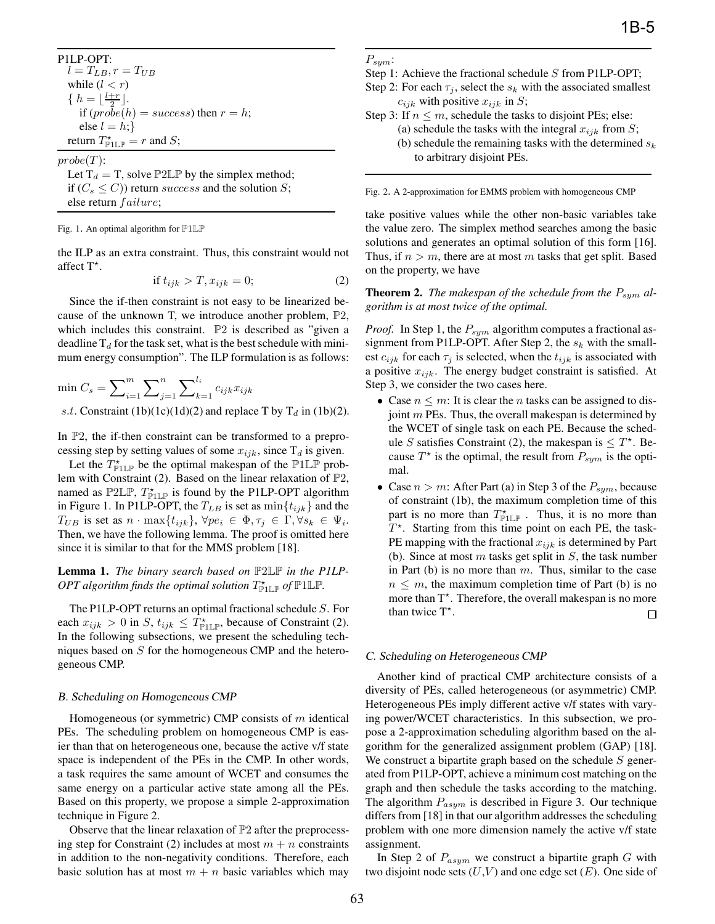P1LP-OPT:  $l = T_{LB}, r = T_{UB}$ while  $(l < r)$  $\{ h = \left\lfloor \frac{l+r}{2} \right\rfloor,$  if  $(\text{probe}(l))$ if  $(probe(h) = success)$  then  $r = h$ ; else  $l = h$ ; return  $T^{\star}_{\mathbb{P}1\mathbb{LP}} = r$  and S;

 $probe(T)$ :

Let  $T_d = T$ , solve  $\mathbb{P}2\mathbb{L}\mathbb{P}$  by the simplex method; if  $(C_s \leq C)$ ) return success and the solution S; else return  $failure;$ 

Fig. 1. An optimal algorithm for P1LP

the ILP as an extra constraint. Thus, this constraint would not affect  $T^*$ .

$$
\text{if } t_{ijk} > T, x_{ijk} = 0; \tag{2}
$$

Since the if-then constraint is not easy to be linearized because of the unknown T, we introduce another problem, <sup>P</sup>2, which includes this constraint. <sup>P</sup>2 is described as "given a deadline  $T_d$  for the task set, what is the best schedule with minimum energy consumption". The ILP formulation is as follows:

$$
\min C_s = \sum_{i=1}^m \sum_{j=1}^n \sum_{k=1}^{l_i} c_{ijk} x_{ijk}
$$
  
s.t. Constant (1b)(1c)(1d)(2) and replace T by T<sub>d</sub> in (1b)(2).

In  $\mathbb{P}2$ , the if-then constraint can be transformed to a preprocessing step by setting values of some  $x_{ijk}$ , since  $T_d$  is given.

Let the  $T_{\text{FLP}}^*$  be the optimal makespan of the  $\mathbb{P}1\mathbb{LP}$  prob-<br>m with Constraint (2). Based on the linear relaxation of  $\mathbb{P}2$ lem with Constraint (2). Based on the linear relaxation of <sup>P</sup>2, named as  $\mathbb{P}2\mathbb{L}\mathbb{P}$ ,  $T_{\mathbb{P}1\mathbb{L}\mathbb{P}}^{\star}$  is found by the P1LP-OPT algorithm<br>in Figure 1. In P1I P-OPT the  $T_{\mathbb{P}1}$  is set as  $\min\{t_{\mathbb{P}1}$  and the in Figure 1. In P1LP-OPT, the  $T_{LB}$  is set as  $\min\{t_{ijk}\}\$  and the  $T_{UB}$  is set as  $n \cdot \max\{t_{ijk}\}, \forall pe_i \in \Phi, \tau_j \in \Gamma, \forall s_k \in \Psi_i$ . Then, we have the following lemma. The proof is omitted here since it is similar to that for the MMS problem [18].

## **Lemma 1.** *The binary search based on* <sup>P</sup>2LP *in the P1LP-*OPT algorithm finds the optimal solution  $T^*_{\mathbb{P}1\mathbb{LP}}$  of  $\mathbb{P}1\mathbb{LP}$ .

The P1LP-OPT returns an optimal fractional schedule S. For each  $x_{ijk} > 0$  in S,  $t_{ijk} \leq \hat{T}^*_{\text{PLIP}}$ , because of Constraint (2).<br>In the following subsections we present the scheduling tech-In the following subsections, we present the scheduling techniques based on S for the homogeneous CMP and the heterogeneous CMP.

## B. Scheduling on Homogeneous CMP

Homogeneous (or symmetric) CMP consists of  $m$  identical PEs. The scheduling problem on homogeneous CMP is easier than that on heterogeneous one, because the active v/f state space is independent of the PEs in the CMP. In other words, a task requires the same amount of WCET and consumes the same energy on a particular active state among all the PEs. Based on this property, we propose a simple 2-approximation technique in Figure 2.

Observe that the linear relaxation of  $P2$  after the preprocessing step for Constraint (2) includes at most  $m + n$  constraints in addition to the non-negativity conditions. Therefore, each basic solution has at most  $m + n$  basic variables which may

## $P_{sym}$ :

- Step 1: Achieve the fractional schedule S from P1LP-OPT; Step 2: For each  $\tau_j$ , select the  $s_k$  with the associated smallest  $c_{ijk}$  with positive  $x_{ijk}$  in S;
- Step 3: If  $n \leq m$ , schedule the tasks to disjoint PEs; else: (a) schedule the tasks with the integral  $x_{ijk}$  from S; (b) schedule the remaining tasks with the determined  $s_k$ to arbitrary disjoint PEs.

Fig. 2. A 2-approximation for EMMS problem with homogeneous CMP

take positive values while the other non-basic variables take the value zero. The simplex method searches among the basic solutions and generates an optimal solution of this form [16]. Thus, if  $n > m$ , there are at most m tasks that get split. Based on the property, we have

**Theorem 2.** *The makespan of the schedule from the*  $P_{sym}$  *algorithm is at most twice of the optimal.*

*Proof.* In Step 1, the  $P_{sym}$  algorithm computes a fractional assignment from P1LP-OPT. After Step 2, the  $s_k$  with the smallest  $c_{ijk}$  for each  $\tau_j$  is selected, when the  $t_{ijk}$  is associated with a positive  $x_{ijk}$ . The energy budget constraint is satisfied. At Step 3, we consider the two cases here.

- Case  $n \leq m$ : It is clear the *n* tasks can be assigned to disjoint  $m$  PEs. Thus, the overall makespan is determined by the WCET of single task on each PE. Because the schedule S satisfies Constraint (2), the makespan is  $\leq T^*$ . Because  $T^*$  is the optimal the result from  $P$  is the optimal cause  $T^*$  is the optimal, the result from  $P_{sym}$  is the optimal.
- Case  $n > m$ : After Part (a) in Step 3 of the  $P_{sym}$ , because of constraint (1b), the maximum completion time of this part is no more than  $T_{\text{PLP}}^*$ . Thus, it is no more than  $T^*$ . Starting from this time point on each PE, the task- $T^*$ . Starting from this time point on each PE, the task-<br>PE manning with the fractional  $x_{\text{tot}}$  is determined by Part PE mapping with the fractional  $x_{ijk}$  is determined by Part (b). Since at most  $m$  tasks get split in  $S$ , the task number in Part (b) is no more than  $m$ . Thus, similar to the case  $n \leq m$ , the maximum completion time of Part (b) is no more than  $T^*$ . Therefore, the overall makespan is no more than twice  $T^*$ .  $\Box$

## C. Scheduling on Heterogeneous CMP

Another kind of practical CMP architecture consists of a diversity of PEs, called heterogeneous (or asymmetric) CMP. Heterogeneous PEs imply different active v/f states with varying power/WCET characteristics. In this subsection, we propose a 2-approximation scheduling algorithm based on the algorithm for the generalized assignment problem (GAP) [18]. We construct a bipartite graph based on the schedule  $S$  generated from P1LP-OPT, achieve a minimum cost matching on the graph and then schedule the tasks according to the matching. The algorithm  $P_{asym}$  is described in Figure 3. Our technique differs from [18] in that our algorithm addresses the scheduling problem with one more dimension namely the active v/f state assignment.

In Step 2 of  $P_{asym}$  we construct a bipartite graph G with two disjoint node sets  $(U, V)$  and one edge set  $(E)$ . One side of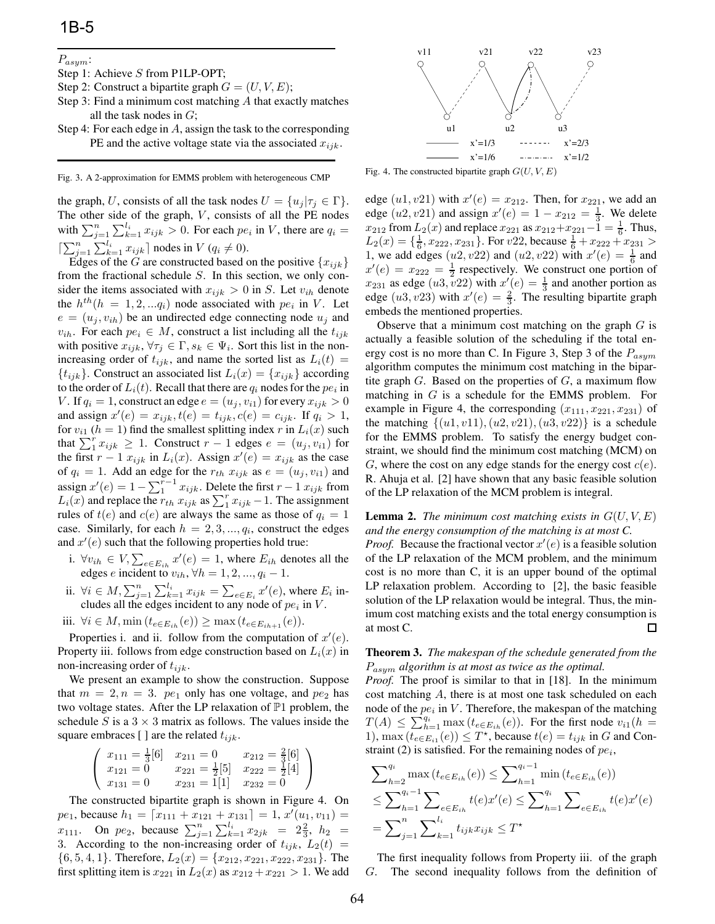## $P_{asym}$ :

- Step 1: Achieve S from P1LP-OPT;
- Step 2: Construct a bipartite graph  $G = (U, V, E);$
- Step 3: Find a minimum cost matching A that exactly matches all the task nodes in  $G$ ;
- Step 4: For each edge in A, assign the task to the corresponding PE and the active voltage state via the associated  $x_{ijk}$ .

Fig. 3. A 2-approximation for EMMS problem with heterogeneous CMP

the graph, U, consists of all the task nodes  $U = \{u_i | \tau_i \in \Gamma\}.$ The other side of the graph,  $V$ , consists of all the PE nodes with  $\sum_{j=1}^{n} \sum_{k=1}^{l_i} x_{ijk} > 0$ . For each  $pe_i$  in V, there are  $q_i = \sum_{k=1}^{n} \sum_{k=1}^{l_i} x_{ijk}$  $\left[\sum_{j=1}^{n} \sum_{k=1}^{l_i} x_{ijk}\right]$  nodes in  $V(q_i \neq 0)$ .<br>
Edges of the *C* are constructed based *c* 

Edges of the G are constructed based on the positive  $\{x_{ijk}\}$ from the fractional schedule S. In this section, we only consider the items associated with  $x_{ijk} > 0$  in S. Let  $v_{ih}$  denote the  $h^{th}(h = 1, 2, \ldots, q_i)$  node associated with  $pe_i$  in V. Let  $e = (u_i, v_{ih})$  be an undirected edge connecting node  $u_i$  and  $v_{ih}$ . For each  $pe_i \in M$ , construct a list including all the  $t_{ijk}$ with positive  $x_{ijk}, \forall \tau_j \in \Gamma, s_k \in \Psi_i$ . Sort this list in the nonincreasing order of  $t_{ijk}$ , and name the sorted list as  $L_i(t)$  =  $\{t_{ijk}\}\$ . Construct an associated list  $L_i(x) = \{x_{ijk}\}\$ according to the order of  $L_i(t)$ . Recall that there are  $q_i$  nodes for the  $pe_i$  in V. If  $q_i = 1$ , construct an edge  $e = (u_j, v_{i1})$  for every  $x_{ijk} > 0$ and assign  $x'(e) = x_{ijk}$ ,  $t(e) = t_{ijk}$ ,  $c(e) = c_{ijk}$ . If  $q_i > 1$ ,<br>for  $y_{ik}(h-1)$  find the smallest splitting index r in  $L(x)$  such for  $v_{i1}$  ( $h = 1$ ) find the smallest splitting index r in  $L_i(x)$  such that  $\sum_{i=1}^{r} x_{ijk} \ge 1$ . Construct  $r - 1$  edges  $e = (u_j, v_{i1})$  for the first  $r - 1$   $r \cdot \ldots$  in  $L_r(x)$ . Assign  $x'(e) = x_{i1}$  as the case the first  $r - 1$   $x_{ijk}$  in  $L_i(x)$ . Assign  $x'(e) = x_{ijk}$  as the case<br>of  $a_i - 1$ , Add an edge for the  $x_{ij}$ ,  $x_{ij}$ , as  $e = (u_{ij}, u_{ij})$  and of  $q_i = 1$ . Add an edge for the  $r_{th}$   $x_{ijk}$  as  $e = (u_j, v_{i1})$  and assign  $x'$ <br> $L_1(x)$  and  $\mathcal{L}(e)=1-\sum_{1}^{r-1}x_{ijk}$ . Delete the first  $r-1$   $x_{ijk}$  from  $L_i(x)$  and replace the  $r_{th} x_{ijk}$  as  $\sum_{i=1}^{r} x_{ijk} - 1$ . The assignment<br>rules of  $t(e)$  and  $c(e)$  are always the same as those of  $a_i - 1$ rules of  $t(e)$  and  $c(e)$  are always the same as those of  $q_i = 1$ case. Similarly, for each  $h = 2, 3, ..., q_i$ , construct the edges and  $x'(e)$  such that the following properties hold true:

- i.  $\forall v_{ih} \in V$ ,  $\sum_{e \in E_{ih}} x'(e) = 1$ , where  $E_{ih}$  denotes all the edges e incident to  $v_{i}$ .  $\forall h = 1, 2, ..., n-1$ edges e incident to  $v_{ih}$ ,  $\forall h = 1, 2, ..., q_i - 1$ .
- ii.  $\forall i \in M, \sum_{j=1}^{n} \sum_{k=1}^{l_i} x_{ijk} = \sum_{e \in E_i} x'(e)$ , where  $E_i$  in-<br>cludes all the edges incident to any node of  $ne$ ; in  $V$ cludes all the edges incident to any node of  $pe_i$  in  $V$ .
- iii.  $\forall i \in M$ , min  $(t_{e∈E_{ih}}(e)) \geq \max(t_{e∈E_{ih+1}}(e)).$

Properties i. and ii. follow from the computation of  $x'(e)$ .<br>
operty iii, follows from edge construction based on  $L(x)$  in Property iii. follows from edge construction based on  $L<sub>i</sub>(x)$  in non-increasing order of  $t_{ijk}$ .

We present an example to show the construction. Suppose that  $m = 2, n = 3$ .  $pe_1$  only has one voltage, and  $pe_2$  has two voltage states. After the LP relaxation of <sup>P</sup>1 problem, the schedule S is a  $3 \times 3$  matrix as follows. The values inside the square embraces [ ] are the related  $t_{ijk}$ .

$$
\begin{pmatrix} x_{111} = \frac{1}{3}[6] & x_{211} = 0 & x_{212} = \frac{2}{3}[6] \\ x_{121} = 0 & x_{221} = \frac{1}{2}[5] & x_{222} = \frac{1}{2}[4] \\ x_{131} = 0 & x_{231} = 1[1] & x_{232} = 0 \end{pmatrix}
$$

 $x_{131} = 0$   $x_{231} = 11$   $x_{232} = 0$  /<br>The constructed bipartite graph is shown in Figure 4. On pe<sub>1</sub>, because  $h_1 = [x_{111} + x_{121} + x_{131}] = 1, x'$  $[ve_1, \text{ because } n_1 = |x_{111} + x_{121} + x_{131}| = 1, x (u_1, v_{11}) =$ <br>  $x_{111}$ . On  $pe_2$ , because  $\sum_{j=1}^{n} \sum_{k=1}^{l_i} x_{2jk} = 2\frac{2}{3}, h_2 =$ <br>  $\frac{3}{3}$  According to the non-increasing order of  $t_{11}$ ,  $L_2(t)$ 3. According to the non-increasing order of  $t_{ijk}$ ,  $L_2(t)$  =  $\{6, 5, 4, 1\}$ . Therefore,  $L_2(x) = \{x_{212}, x_{221}, x_{222}, x_{231}\}$ . The first splitting item is  $x_{221}$  in  $L_2(x)$  as  $x_{212} + x_{221} > 1$ . We add



Fig. 4. The constructed bipartite graph  $G(U, V, E)$ 

edge  $(u_1, v_2)$  with  $x'(e) = x_{212}$ . Then, for  $x_{221}$ , we add an edge  $(u_2, v_2)$  and assign  $x'(e) = 1 - x_{212} = \frac{1}{2}$ . We delete edge  $(u2, v21)$  and assign  $x'(e) = 1 - x_{212} = \frac{1}{3}$ . We delete  $x_{212}$  from  $L_2(x)$  and replace  $x_{221}$  as  $x_{212}+x_{221}-1 = \frac{1}{6}$ . Thus,<br> $L_2(x) = \frac{1}{2}x_{222} - x_{221}$ . For  $x_{22}$  because  $\frac{1}{2} + x_{221} + x_{221} >$  $L_2(x) = \{\frac{1}{6}, x_{222}, x_{231}\}\.$  For v22, because  $\frac{1}{6} + x_{222} + x_{231} > 1$  we add edges  $(y2, y22)$  and  $(y2, y22)$  with  $x'(e) = 1$  and 1, we add edges  $(u2, v22)$  and  $(u2, v22)$  with  $x'(e) = \frac{1}{6}$  and  $x'(e) = x_{00} - \frac{1}{6}$  respectively. We construct one portion of  $x'(e) = x_{222} = \frac{1}{2}$  respectively. We construct one portion of  $x_{223}$  as edge  $(u^3, v^2)$  with  $x'(e) = 1$  and another portion as  $x_{231}$  as edge  $(u3, v22)$  with  $x'(e) = \frac{1}{3}$  and another portion as edge  $(u3, v23)$  with  $x'(e) = \frac{2}{3}$ . The resulting binaritie graph edge  $(u3, v23)$  with  $x'(e) = \frac{2}{3}$ . The resulting bipartite graph embeds the mentioned properties.

Observe that a minimum cost matching on the graph  $G$  is actually a feasible solution of the scheduling if the total energy cost is no more than C. In Figure 3, Step 3 of the  $P_{asym}$ algorithm computes the minimum cost matching in the bipartite graph  $G$ . Based on the properties of  $G$ , a maximum flow matching in  $G$  is a schedule for the EMMS problem. For example in Figure 4, the corresponding  $(x_{111}, x_{221}, x_{231})$  of the matching  $\{(u1, v11), (u2, v21), (u3, v22)\}\)$  is a schedule for the EMMS problem. To satisfy the energy budget constraint, we should find the minimum cost matching (MCM) on G, where the cost on any edge stands for the energy cost  $c(e)$ . R. Ahuja et al. [2] have shown that any basic feasible solution of the LP relaxation of the MCM problem is integral.

**Lemma 2.** *The minimum cost matching exists in*  $G(U, V, E)$ *and the energy consumption of the matching is at most C.*

*Proof.* Because the fractional vector  $x'(e)$  is a feasible solution of the LP relaxation of the MCM problem, and the minimum of the LP relaxation of the MCM problem, and the minimum cost is no more than C, it is an upper bound of the optimal LP relaxation problem. According to [2], the basic feasible solution of the LP relaxation would be integral. Thus, the minimum cost matching exists and the total energy consumption is at most C. П

**Theorem 3.** *The makespan of the schedule generated from the* <sup>P</sup>asym *algorithm is at most as twice as the optimal.*

*Proof.* The proof is similar to that in [18]. In the minimum cost matching A, there is at most one task scheduled on each node of the  $pe_i$  in  $V$ . Therefore, the makespan of the matching  $T(A) \leq \sum_{h=1}^{q_i} \max(t_{e \in E_{ih}}(e))$ . For the first node  $v_{i1}(h = 1)$  max  $(t_{e \in E_{ih}}(e)) \leq T^*$  because  $t(e) = t_{i,j}$  in  $G$  and Con-1),  $\max (t_e \in E_{i1}(e)) \leq T^*$ , because  $t(e) = t_{ijk}$  in G and Constraint (2) is satisfied. For the remaining nodes of  $ne$ . straint (2) is satisfied. For the remaining nodes of  $pe_i$ ,

$$
\sum_{h=2}^{q_i} \max(t_{e \in E_{ih}}(e)) \le \sum_{h=1}^{q_i - 1} \min(t_{e \in E_{ih}}(e))
$$
  
\n
$$
\le \sum_{h=1}^{q_i - 1} \sum_{e \in E_{ih}} t(e)x'(e) \le \sum_{h=1}^{q_i} \sum_{e \in E_{ih}} t(e)x'(e)
$$
  
\n
$$
= \sum_{j=1}^{n} \sum_{k=1}^{l_i} t_{ijk}x_{ijk} \le T^*
$$

The first inequality follows from Property iii. of the graph G. The second inequality follows from the definition of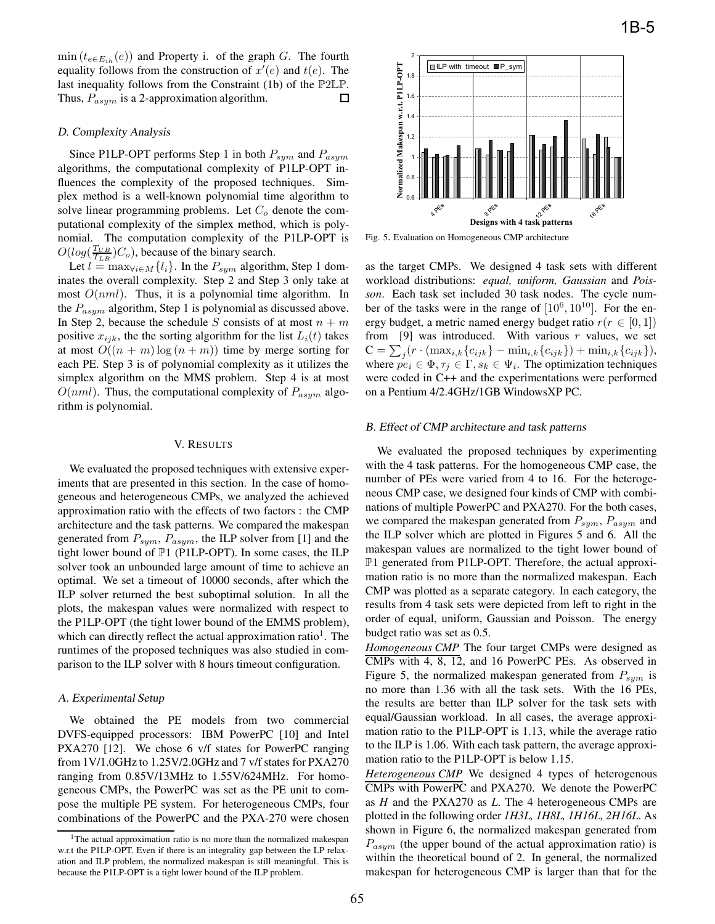$\min(t_{e \in E_{ih}}(e))$  and Property i. of the graph G. The fourth equality follows from the construction of  $x'(e)$  and  $t(e)$ . The last inequality follows from the Constraint (1b) of the  $\mathbb{P}2\mathbb{P}$ last inequality follows from the Constraint (1b) of the  $\mathbb{P}2\mathbb{LP}$ .<br>Thus,  $P_{asym}$  is a 2-approximation algorithm. Thus,  $P_{asym}$  is a 2-approximation algorithm.

## D. Complexity Analysis

Since P1LP-OPT performs Step 1 in both  $P_{sym}$  and  $P_{asym}$ algorithms, the computational complexity of P1LP-OPT influences the complexity of the proposed techniques. Simplex method is a well-known polynomial time algorithm to solve linear programming problems. Let  $C<sub>o</sub>$  denote the computational complexity of the simplex method, which is polynomial. The computation complexity of the P1LP-OPT is  $O(log(\frac{T_{UB}}{T_{LB}})C_o)$ , because of the binary search.

Let  $l = \max_{\forall i \in M} \{l_i\}$ . In the  $P_{sym}$  algorithm, Step 1 dominates the overall complexity. Step 2 and Step 3 only take at most  $O(nml)$ . Thus, it is a polynomial time algorithm. In the  $P_{asym}$  algorithm, Step 1 is polynomial as discussed above. In Step 2, because the schedule S consists of at most  $n + m$ positive  $x_{ijk}$ , the the sorting algorithm for the list  $L_i(t)$  takes at most  $O((n + m) \log(n + m))$  time by merge sorting for each PE. Step 3 is of polynomial complexity as it utilizes the simplex algorithm on the MMS problem. Step 4 is at most  $O(nml)$ . Thus, the computational complexity of  $P_{asym}$  algorithm is polynomial.

## V. RESULTS

We evaluated the proposed techniques with extensive experiments that are presented in this section. In the case of homogeneous and heterogeneous CMPs, we analyzed the achieved approximation ratio with the effects of two factors : the CMP architecture and the task patterns. We compared the makespan generated from  $P_{sym}$ ,  $P_{asym}$ , the ILP solver from [1] and the tight lower bound of <sup>P</sup>1 (P1LP-OPT). In some cases, the ILP solver took an unbounded large amount of time to achieve an optimal. We set a timeout of 10000 seconds, after which the ILP solver returned the best suboptimal solution. In all the plots, the makespan values were normalized with respect to the P1LP-OPT (the tight lower bound of the EMMS problem), which can directly reflect the actual approximation ratio<sup>1</sup>. The runtimes of the proposed techniques was also studied in comparison to the ILP solver with 8 hours timeout configuration.

## A. Experimental Setup

We obtained the PE models from two commercial DVFS-equipped processors: IBM PowerPC [10] and Intel PXA270 [12]. We chose 6 v/f states for PowerPC ranging from 1V/1.0GHz to 1.25V/2.0GHz and 7 v/f states for PXA270 ranging from 0.85V/13MHz to 1.55V/624MHz. For homogeneous CMPs, the PowerPC was set as the PE unit to compose the multiple PE system. For heterogeneous CMPs, four combinations of the PowerPC and the PXA-270 were chosen



Fig. 5. Evaluation on Homogeneous CMP architecture

as the target CMPs. We designed 4 task sets with different workload distributions: *equal, uniform, Gaussian* and *Poisson*. Each task set included 30 task nodes. The cycle number of the tasks were in the range of  $[10^6, 10^{10}]$ . For the energy budget, a metric named energy budget ratio  $r(r \in [0, 1])$ from [9] was introduced. With various  $r$  values, we set  $C = \sum_j (r \cdot (\max_{i,k} \{c_{ijk}\} - \min_{i,k} \{c_{ijk}\}) + \min_{i,k} \{c_{ijk}\}),$ <br>where  $ne_i \in \Phi$ ,  $\tau_i \in \Gamma$ ,  $e_i \in \Psi$ . The optimization techniques where  $\tilde{pe}_i \in \Phi, \tau_i \in \Gamma, s_k \in \Psi_i$ . The optimization techniques were coded in C++ and the experimentations were performed on a Pentium 4/2.4GHz/1GB WindowsXP PC.

## B. Effect of CMP architecture and task patterns

We evaluated the proposed techniques by experimenting with the 4 task patterns. For the homogeneous CMP case, the number of PEs were varied from 4 to 16. For the heterogeneous CMP case, we designed four kinds of CMP with combinations of multiple PowerPC and PXA270. For the both cases, we compared the makespan generated from  $P_{sym}$ ,  $P_{asym}$  and the ILP solver which are plotted in Figures 5 and 6. All the makespan values are normalized to the tight lower bound of <sup>P</sup>1 generated from P1LP-OPT. Therefore, the actual approximation ratio is no more than the normalized makespan. Each CMP was plotted as a separate category. In each category, the results from 4 task sets were depicted from left to right in the order of equal, uniform, Gaussian and Poisson. The energy budget ratio was set as 0.5.

*Homogeneous CMP* The four target CMPs were designed as CMPs with 4, 8, 12, and 16 PowerPC PEs. As observed in Figure 5, the normalized makespan generated from  $P_{sum}$  is no more than 1.36 with all the task sets. With the 16 PEs, the results are better than ILP solver for the task sets with equal/Gaussian workload. In all cases, the average approximation ratio to the P1LP-OPT is 1.13, while the average ratio to the ILP is 1.06. With each task pattern, the average approximation ratio to the P1LP-OPT is below 1.15.

*Heterogeneous CMP* We designed 4 types of heterogenous CMPs with PowerPC and PXA270. We denote the PowerPC as *H* and the PXA270 as *L*. The 4 heterogeneous CMPs are plotted in the following order *1H3L, 1H8L, 1H16L, 2H16L*. As shown in Figure 6, the normalized makespan generated from  $P_{asym}$  (the upper bound of the actual approximation ratio) is within the theoretical bound of 2. In general, the normalized makespan for heterogeneous CMP is larger than that for the

<sup>&</sup>lt;sup>1</sup>The actual approximation ratio is no more than the normalized makespan w.r.t the P1LP-OPT. Even if there is an integrality gap between the LP relaxation and ILP problem, the normalized makespan is still meaningful. This is because the P1LP-OPT is a tight lower bound of the ILP problem.